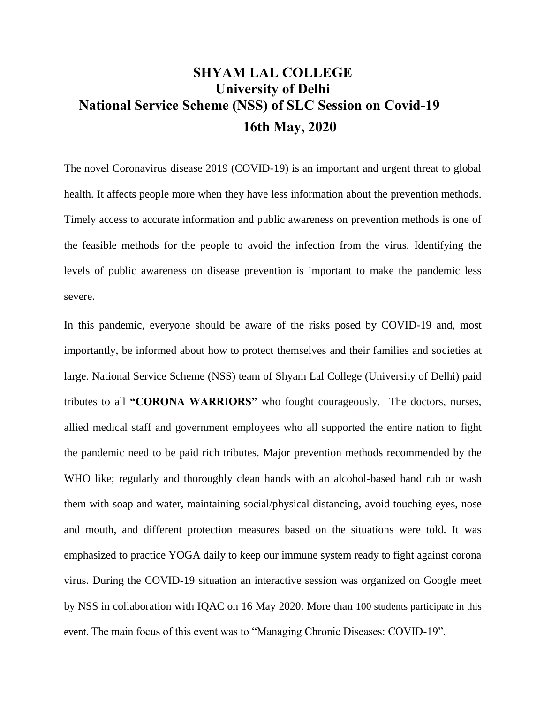## **SHYAM LAL COLLEGE University of Delhi National Service Scheme (NSS) of SLC Session on Covid-19 16th May, 2020**

The novel Coronavirus disease 2019 (COVID-19) is an important and urgent threat to global health. It affects people more when they have less information about the prevention methods. Timely access to accurate information and public awareness on prevention methods is one of the feasible methods for the people to avoid the infection from the virus. Identifying the levels of public awareness on disease prevention is important to make the pandemic less severe.

In this pandemic, everyone should be aware of the risks posed by COVID-19 and, most importantly, be informed about how to protect themselves and their families and societies at large. National Service Scheme (NSS) team of Shyam Lal College (University of Delhi) paid tributes to all **"CORONA WARRIORS"** who fought courageously. The doctors, nurses, allied medical staff and government employees who all supported the entire nation to fight the pandemic need to be paid rich tributes. Major prevention methods recommended by the WHO like; regularly and thoroughly clean hands with an alcohol-based hand rub or wash them with soap and water, maintaining social/physical distancing, avoid touching eyes, nose and mouth, and different protection measures based on the situations were told. It was emphasized to practice YOGA daily to keep our immune system ready to fight against corona virus. During the COVID-19 situation an interactive session was organized on Google meet by NSS in collaboration with IQAC on 16 May 2020. More than 100 students participate in this event. The main focus of this event was to "Managing Chronic Diseases: COVID-19".